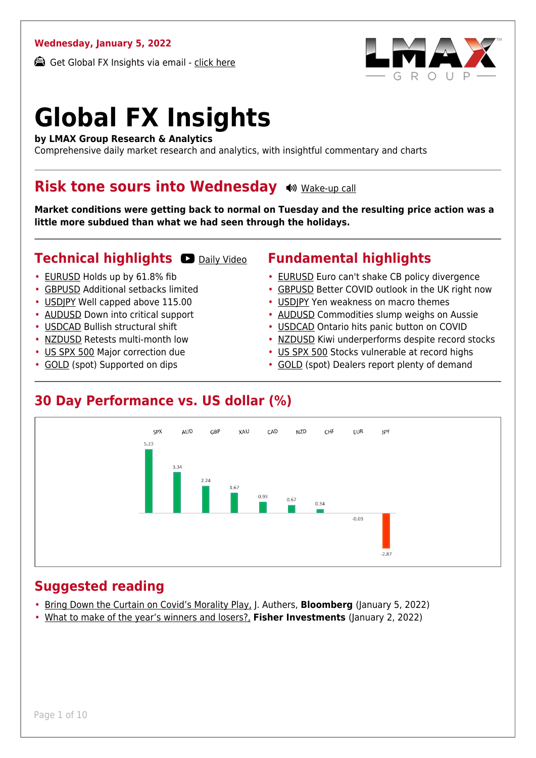#### **Wednesday, January 5, 2022**

Get Global FX Insights via email - [click here](https://www.lmax.com/blog/global-fx-insights/sign-up/?src=gfxipdf)



# **Global FX Insights**

**by LMAX Group Research & Analytics**

Comprehensive daily market research and analytics, with insightful commentary and charts

#### **Risk tone sours into Wednesday**  $\bullet$  **[Wake-up call](https://www.lmax.com/blog/global-fx-insights/2022/01/05/risk-tone-sours-into-wednesday/?utm_source=GlobalFXInsights-Newsletter&utm_medium=Email&utm_campaign=GlobalFXInsights&audio=play#wakeup-52220)**

**Market conditions were getting back to normal on Tuesday and the resulting price action was a little more subdued than what we had seen through the holidays.**

#### **Technical highlights O [Daily Video](https://www.lmax.com/blog/global-fx-insights/2022/01/05/risk-tone-sours-into-wednesday/?utm_source=GlobalFXInsights-Newsletter&utm_medium=Email&utm_campaign=GlobalFXInsights&popup=watch#charttalk-52220)**

- [EURUSD](#page-1-0) Holds up by 61.8% fib
- [GBPUSD](#page-2-0) Additional setbacks limited
- [USDJPY](#page-3-0) Well capped above 115.00
- [AUDUSD](#page-4-0) Down into critical support
- [USDCAD](#page-5-0) Bullish structural shift
- [NZDUSD](#page-6-0) Retests multi-month low
- [US SPX 500](#page-7-0) Major correction due
- [GOLD](#page-8-0) (spot) Supported on dips

#### **Fundamental highlights**

- [EURUSD](#page-1-1) Euro can't shake CB policy divergence
- [GBPUSD](#page-2-1) Better COVID outlook in the UK right now
- [USDJPY](#page-3-1) Yen weakness on macro themes
- [AUDUSD](#page-4-1) Commodities slump weighs on Aussie
- [USDCAD](#page-5-1) Ontario hits panic button on COVID
- [NZDUSD](#page-6-1) Kiwi underperforms despite record stocks
- [US SPX 500](#page-7-1) Stocks vulnerable at record highs
- [GOLD](#page-8-1) (spot) Dealers report plenty of demand

#### **30 Day Performance vs. US dollar (%)**



#### **Suggested reading**

- [Bring Down the Curtain on Covid's Morality Play,](https://www.lmax.com/blog/global-fx-insights/2022/01/05/risk-tone-sours-into-wednesday/?read=https://www.bloomberg.com/opinion/articles/2022-01-05/the-covid-19-morality-play-should-finally-fall-apart-under-omicron?srnd=opinion-markets) J. Authers, **Bloomberg** (January 5, 2022)
- [What to make of the year's winners and losers?,](https://www.lmax.com/blog/global-fx-insights/2022/01/05/risk-tone-sours-into-wednesday/?read=https://www.fisherinvestments.com/en-us/marketminder/your-2021-stock-market-scorecard) **Fisher Investments** (January 2, 2022)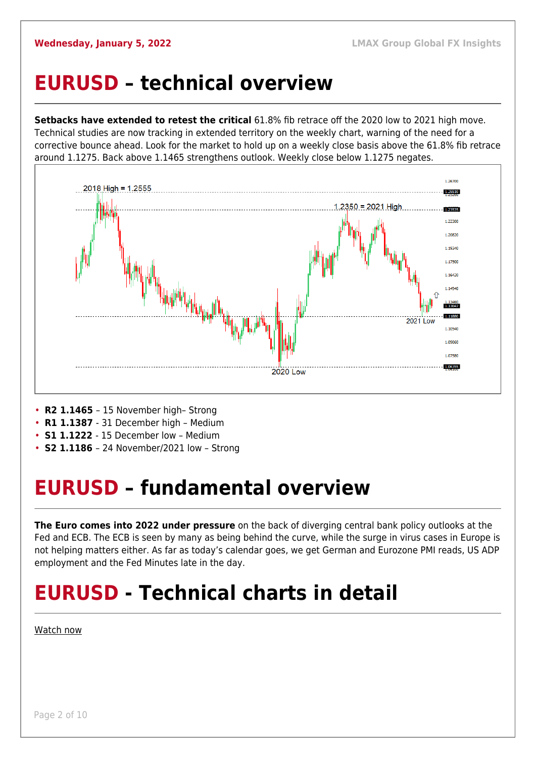#### <span id="page-1-0"></span>**EURUSD – technical overview**

**Setbacks have extended to retest the critical** 61.8% fib retrace off the 2020 low to 2021 high move. Technical studies are now tracking in extended territory on the weekly chart, warning of the need for a corrective bounce ahead. Look for the market to hold up on a weekly close basis above the 61.8% fib retrace around 1.1275. Back above 1.1465 strengthens outlook. Weekly close below 1.1275 negates.



- **R2 1.1465**  15 November high– Strong
- **R1 1.1387**  31 December high Medium
- **S1 1.1222**  15 December low Medium
- **S2 1.1186**  24 November/2021 low Strong

## <span id="page-1-1"></span>**EURUSD – fundamental overview**

**The Euro comes into 2022 under pressure** on the back of diverging central bank policy outlooks at the Fed and ECB. The ECB is seen by many as being behind the curve, while the surge in virus cases in Europe is not helping matters either. As far as today's calendar goes, we get German and Eurozone PMI reads, US ADP employment and the Fed Minutes late in the day.

## **EURUSD - Technical charts in detail**

[Watch now](https://youtu.be/P29foKX1IDw)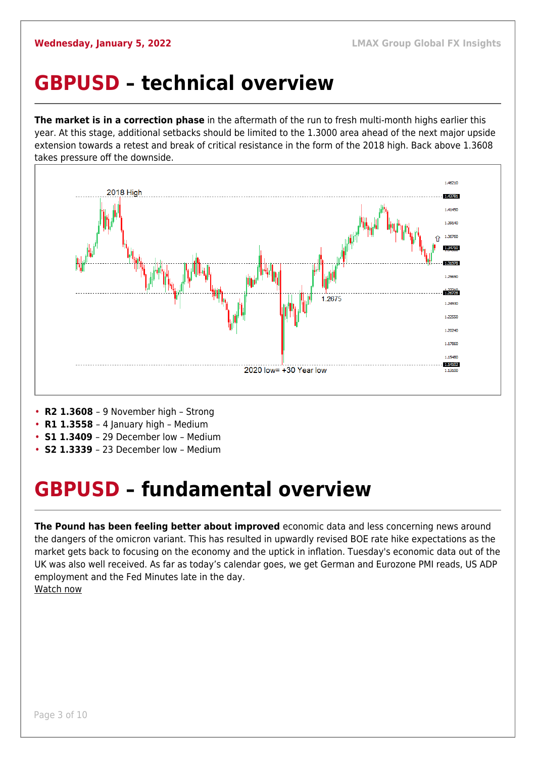#### <span id="page-2-0"></span>**GBPUSD – technical overview**

**The market is in a correction phase** in the aftermath of the run to fresh multi-month highs earlier this year. At this stage, additional setbacks should be limited to the 1.3000 area ahead of the next major upside extension towards a retest and break of critical resistance in the form of the 2018 high. Back above 1.3608 takes pressure off the downside.



- **R2 1.3608**  9 November high Strong
- **R1 1.3558**  4 January high Medium
- **S1 1.3409**  29 December low Medium
- **S2 1.3339**  23 December low Medium

#### <span id="page-2-1"></span>**GBPUSD – fundamental overview**

**The Pound has been feeling better about improved** economic data and less concerning news around the dangers of the omicron variant. This has resulted in upwardly revised BOE rate hike expectations as the market gets back to focusing on the economy and the uptick in inflation. Tuesday's economic data out of the UK was also well received. As far as today's calendar goes, we get German and Eurozone PMI reads, US ADP employment and the Fed Minutes late in the day. [Watch now](https://youtu.be/us4VlHNnfwY)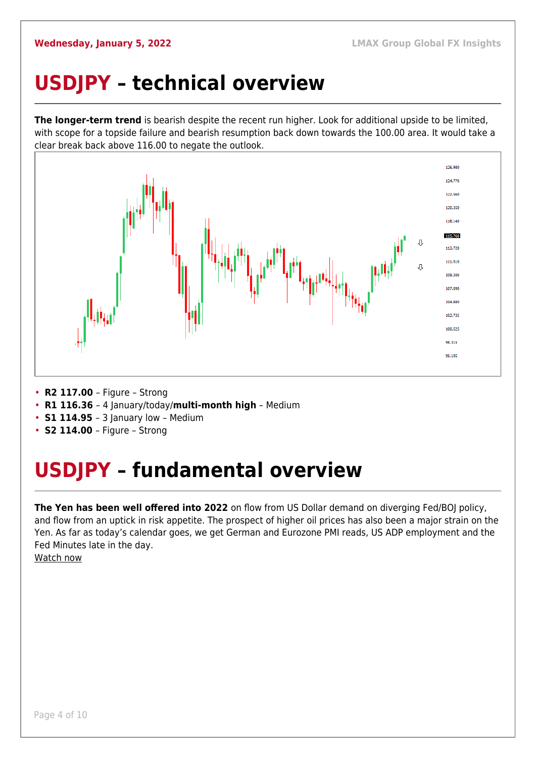## <span id="page-3-0"></span>**USDJPY – technical overview**

**The longer-term trend** is bearish despite the recent run higher. Look for additional upside to be limited, with scope for a topside failure and bearish resumption back down towards the 100.00 area. It would take a clear break back above 116.00 to negate the outlook.



- **R2 117.00**  Figure Strong
- **R1 116.36**  4 January/today/**multi-month high** Medium
- **S1 114.95**  3 January low Medium
- **S2 114.00**  Figure Strong

## <span id="page-3-1"></span>**USDJPY – fundamental overview**

**The Yen has been well offered into 2022** on flow from US Dollar demand on diverging Fed/BOJ policy, and flow from an uptick in risk appetite. The prospect of higher oil prices has also been a major strain on the Yen. As far as today's calendar goes, we get German and Eurozone PMI reads, US ADP employment and the Fed Minutes late in the day.

[Watch now](https://youtu.be/mXHJx51NYz4)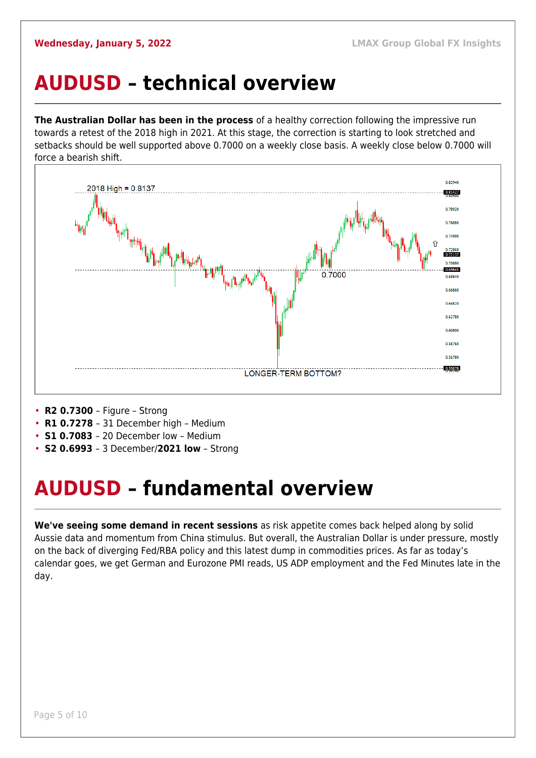#### <span id="page-4-0"></span>**AUDUSD – technical overview**

**The Australian Dollar has been in the process** of a healthy correction following the impressive run towards a retest of the 2018 high in 2021. At this stage, the correction is starting to look stretched and setbacks should be well supported above 0.7000 on a weekly close basis. A weekly close below 0.7000 will force a bearish shift.



- **R2 0.7300**  Figure Strong
- **R1 0.7278**  31 December high Medium
- **S1 0.7083**  20 December low Medium
- **S2 0.6993**  3 December/**2021 low** Strong

## <span id="page-4-1"></span>**AUDUSD – fundamental overview**

**We've seeing some demand in recent sessions** as risk appetite comes back helped along by solid Aussie data and momentum from China stimulus. But overall, the Australian Dollar is under pressure, mostly on the back of diverging Fed/RBA policy and this latest dump in commodities prices. As far as today's calendar goes, we get German and Eurozone PMI reads, US ADP employment and the Fed Minutes late in the day.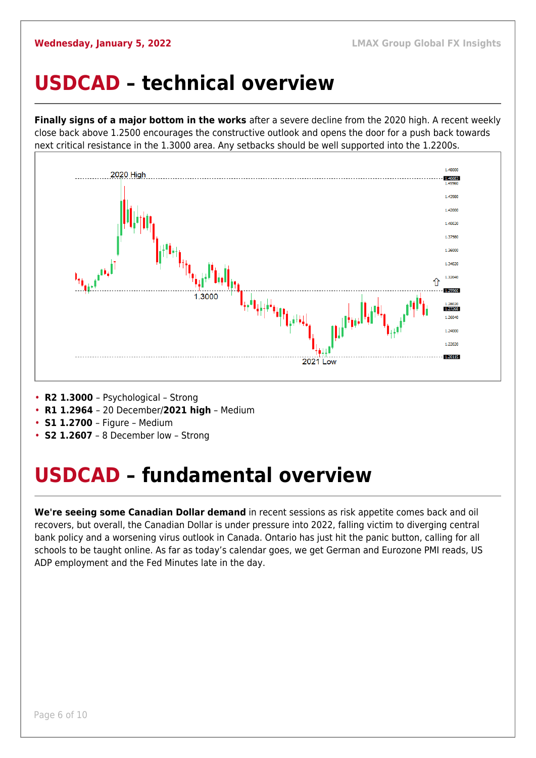#### <span id="page-5-0"></span>**USDCAD – technical overview**

**Finally signs of a major bottom in the works** after a severe decline from the 2020 high. A recent weekly close back above 1.2500 encourages the constructive outlook and opens the door for a push back towards next critical resistance in the 1.3000 area. Any setbacks should be well supported into the 1.2200s.



- **R2 1.3000**  Psychological Strong
- **R1 1.2964**  20 December/**2021 high** Medium
- **S1 1.2700**  Figure Medium
- **S2 1.2607** 8 December low Strong

#### <span id="page-5-1"></span>**USDCAD – fundamental overview**

**We're seeing some Canadian Dollar demand** in recent sessions as risk appetite comes back and oil recovers, but overall, the Canadian Dollar is under pressure into 2022, falling victim to diverging central bank policy and a worsening virus outlook in Canada. Ontario has just hit the panic button, calling for all schools to be taught online. As far as today's calendar goes, we get German and Eurozone PMI reads, US ADP employment and the Fed Minutes late in the day.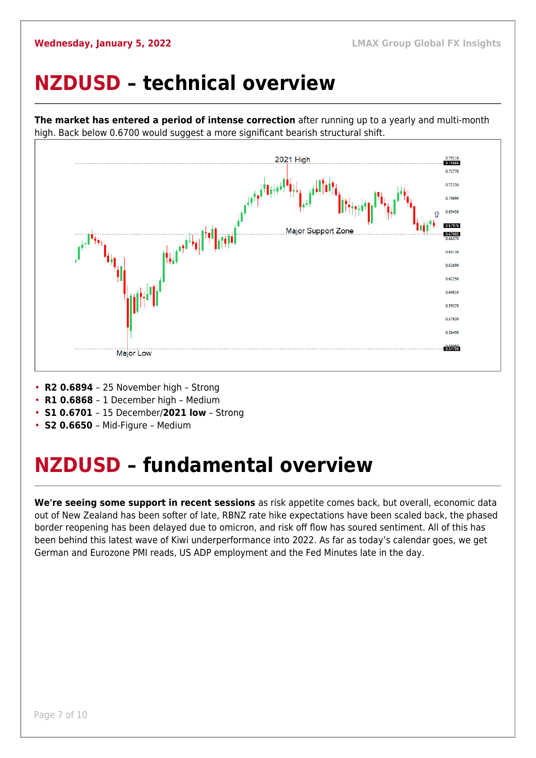#### <span id="page-6-0"></span>**NZDUSD – technical overview**



**The market has entered a period of intense correction** after running up to a yearly and multi-month high. Back below 0.6700 would suggest a more significant bearish structural shift.

- **R2 0.6894**  25 November high Strong
- **R1 0.6868**  1 December high Medium
- **S1 0.6701**  15 December/**2021 low** Strong
- **S2 0.6650**  Mid-Figure Medium

#### <span id="page-6-1"></span>**NZDUSD – fundamental overview**

**We're seeing some support in recent sessions** as risk appetite comes back, but overall, economic data out of New Zealand has been softer of late, RBNZ rate hike expectations have been scaled back, the phased border reopening has been delayed due to omicron, and risk off flow has soured sentiment. All of this has been behind this latest wave of Kiwi underperformance into 2022. As far as today's calendar goes, we get German and Eurozone PMI reads, US ADP employment and the Fed Minutes late in the day.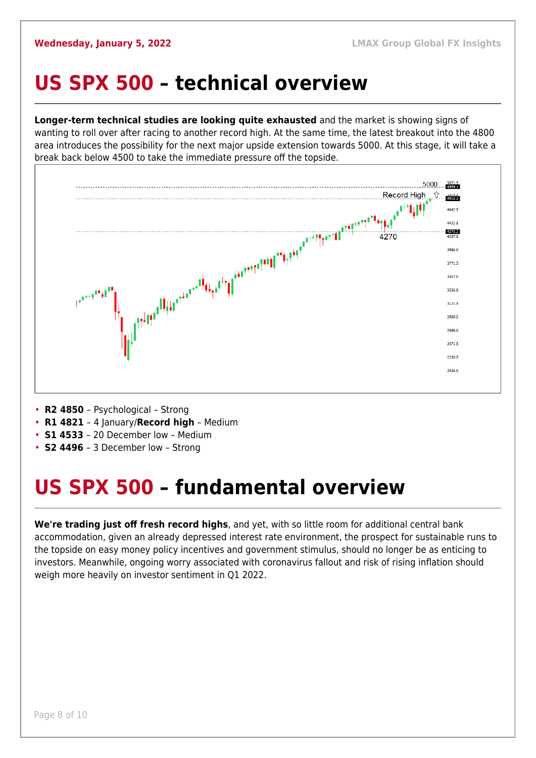#### <span id="page-7-0"></span>**US SPX 500 – technical overview**

**Longer-term technical studies are looking quite exhausted** and the market is showing signs of wanting to roll over after racing to another record high. At the same time, the latest breakout into the 4800 area introduces the possibility for the next major upside extension towards 5000. At this stage, it will take a break back below 4500 to take the immediate pressure off the topside.



- **R2 4850**  Psychological Strong
- **R1 4821**  4 January/**Record high** Medium
- **S1 4533**  20 December low Medium
- **S2 4496**  3 December low Strong

## <span id="page-7-1"></span>**US SPX 500 – fundamental overview**

**We're trading just off fresh record highs**, and yet, with so little room for additional central bank accommodation, given an already depressed interest rate environment, the prospect for sustainable runs to the topside on easy money policy incentives and government stimulus, should no longer be as enticing to investors. Meanwhile, ongoing worry associated with coronavirus fallout and risk of rising inflation should weigh more heavily on investor sentiment in Q1 2022.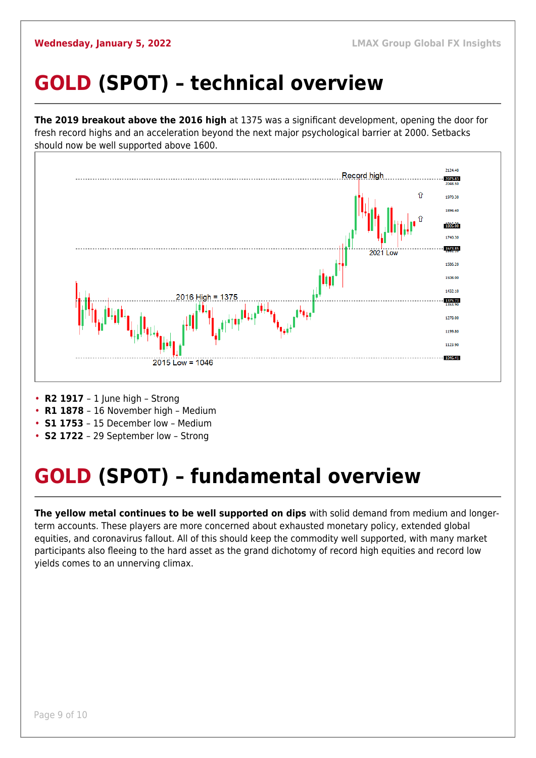## <span id="page-8-0"></span>**GOLD (SPOT) – technical overview**

**The 2019 breakout above the 2016 high** at 1375 was a significant development, opening the door for fresh record highs and an acceleration beyond the next major psychological barrier at 2000. Setbacks should now be well supported above 1600.



- **R2 1917**  1 June high Strong
- **R1 1878**  16 November high Medium
- **S1 1753**  15 December low Medium
- **S2 1722**  29 September low Strong

## <span id="page-8-1"></span>**GOLD (SPOT) – fundamental overview**

**The yellow metal continues to be well supported on dips** with solid demand from medium and longerterm accounts. These players are more concerned about exhausted monetary policy, extended global equities, and coronavirus fallout. All of this should keep the commodity well supported, with many market participants also fleeing to the hard asset as the grand dichotomy of record high equities and record low yields comes to an unnerving climax.